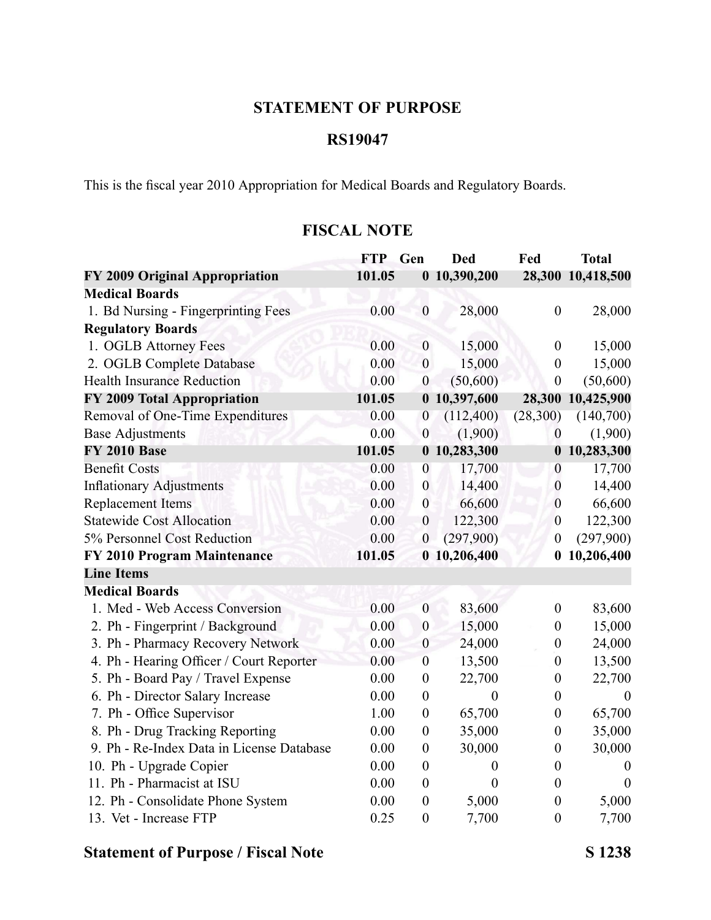### **STATEMENT OF PURPOSE**

#### **RS19047**

This is the fiscal year 2010 Appropriation for Medical Boards and Regulatory Boards.

### **FISCAL NOTE**

|                                           | <b>FTP</b> | Gen              | <b>Ded</b>       | Fed              | <b>Total</b>      |
|-------------------------------------------|------------|------------------|------------------|------------------|-------------------|
| FY 2009 Original Appropriation            | 101.05     |                  | 0 10,390,200     |                  | 28,300 10,418,500 |
| <b>Medical Boards</b>                     |            |                  |                  |                  |                   |
| 1. Bd Nursing - Fingerprinting Fees       | 0.00       | $\boldsymbol{0}$ | 28,000           | $\boldsymbol{0}$ | 28,000            |
| <b>Regulatory Boards</b>                  |            |                  |                  |                  |                   |
| 1. OGLB Attorney Fees                     | 0.00       | $\boldsymbol{0}$ | 15,000           | $\boldsymbol{0}$ | 15,000            |
| 2. OGLB Complete Database                 | 0.00       | $\boldsymbol{0}$ | 15,000           | $\boldsymbol{0}$ | 15,000            |
| <b>Health Insurance Reduction</b>         | 0.00       | $\boldsymbol{0}$ | (50,600)         | $\boldsymbol{0}$ | (50,600)          |
| FY 2009 Total Appropriation               | 101.05     |                  | 0 10,397,600     | 28,300           | 10,425,900        |
| Removal of One-Time Expenditures          | 0.00       | $\overline{0}$   | (112,400)        | (28, 300)        | (140,700)         |
| <b>Base Adjustments</b>                   | 0.00       | $\boldsymbol{0}$ | (1,900)          | $\boldsymbol{0}$ | (1,900)           |
| <b>FY 2010 Base</b>                       | 101.05     |                  | 0 10,283,300     | $\boldsymbol{0}$ | 10,283,300        |
| <b>Benefit Costs</b>                      | 0.00       | $\boldsymbol{0}$ | 17,700           | $\boldsymbol{0}$ | 17,700            |
| <b>Inflationary Adjustments</b>           | 0.00       | $\boldsymbol{0}$ | 14,400           | $\boldsymbol{0}$ | 14,400            |
| <b>Replacement Items</b>                  | 0.00       | $\boldsymbol{0}$ | 66,600           | $\boldsymbol{0}$ | 66,600            |
| <b>Statewide Cost Allocation</b>          | 0.00       | $\boldsymbol{0}$ | 122,300          | $\boldsymbol{0}$ | 122,300           |
| 5% Personnel Cost Reduction               | 0.00       | $\boldsymbol{0}$ | (297,900)        | $\boldsymbol{0}$ | (297,900)         |
| FY 2010 Program Maintenance               | 101.05     |                  | 0 10,206,400     | $\bf{0}$         | 10,206,400        |
| <b>Line Items</b>                         |            |                  |                  |                  |                   |
| <b>Medical Boards</b>                     |            |                  |                  |                  |                   |
| 1. Med - Web Access Conversion            | 0.00       | $\boldsymbol{0}$ | 83,600           | $\boldsymbol{0}$ | 83,600            |
| 2. Ph - Fingerprint / Background          | 0.00       | $\boldsymbol{0}$ | 15,000           | $\boldsymbol{0}$ | 15,000            |
| 3. Ph - Pharmacy Recovery Network         | 0.00       | $\boldsymbol{0}$ | 24,000           | $\boldsymbol{0}$ | 24,000            |
| 4. Ph - Hearing Officer / Court Reporter  | 0.00       | $\boldsymbol{0}$ | 13,500           | $\boldsymbol{0}$ | 13,500            |
| 5. Ph - Board Pay / Travel Expense        | 0.00       | $\boldsymbol{0}$ | 22,700           | $\boldsymbol{0}$ | 22,700            |
| 6. Ph - Director Salary Increase          | 0.00       | $\boldsymbol{0}$ | $\boldsymbol{0}$ | $\boldsymbol{0}$ | $\boldsymbol{0}$  |
| 7. Ph - Office Supervisor                 | 1.00       | $\boldsymbol{0}$ | 65,700           | $\boldsymbol{0}$ | 65,700            |
| 8. Ph - Drug Tracking Reporting           | 0.00       | $\boldsymbol{0}$ | 35,000           | $\boldsymbol{0}$ | 35,000            |
| 9. Ph - Re-Index Data in License Database | 0.00       | $\boldsymbol{0}$ | 30,000           | $\boldsymbol{0}$ | 30,000            |
| 10. Ph - Upgrade Copier                   | 0.00       | $\boldsymbol{0}$ | $\boldsymbol{0}$ | $\boldsymbol{0}$ | $\boldsymbol{0}$  |
| 11. Ph - Pharmacist at ISU                | 0.00       | $\boldsymbol{0}$ | $\overline{0}$   | $\theta$         | $\theta$          |
| 12. Ph - Consolidate Phone System         | 0.00       | $\boldsymbol{0}$ | 5,000            | $\boldsymbol{0}$ | 5,000             |
| 13. Vet - Increase FTP                    | 0.25       | $\boldsymbol{0}$ | 7,700            | $\boldsymbol{0}$ | 7,700             |

# **Statement of Purpose / Fiscal Note S 1238**